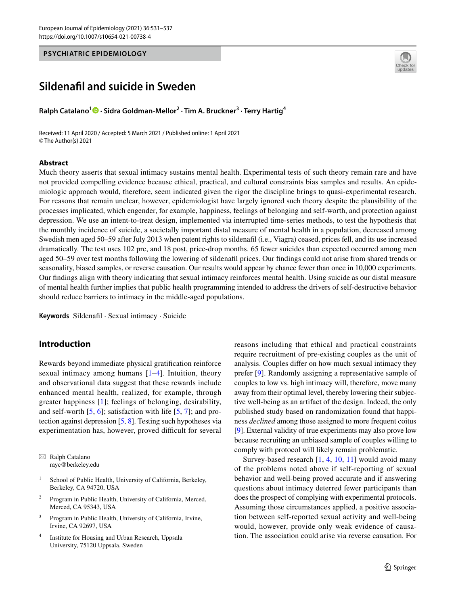#### **PSYCHIATRIC EPIDEMIOLOGY**

# **Sildenafl and suicide in Sweden**

**Ralph Catalano<sup>1</sup> · Sidra Goldman‑Mellor2 · Tim A. Bruckner<sup>3</sup> · Terry Hartig4**

Received: 11 April 2020 / Accepted: 5 March 2021 / Published online: 1 April 2021 © The Author(s) 2021

#### **Abstract**



Much theory asserts that sexual intimacy sustains mental health. Experimental tests of such theory remain rare and have not provided compelling evidence because ethical, practical, and cultural constraints bias samples and results. An epidemiologic approach would, therefore, seem indicated given the rigor the discipline brings to quasi-experimental research. For reasons that remain unclear, however, epidemiologist have largely ignored such theory despite the plausibility of the processes implicated, which engender, for example, happiness, feelings of belonging and self-worth, and protection against depression. We use an intent-to-treat design, implemented via interrupted time-series methods, to test the hypothesis that the monthly incidence of suicide, a societally important distal measure of mental health in a population, decreased among Swedish men aged 50–59 after July 2013 when patent rights to sildenafl (i.e., Viagra) ceased, prices fell, and its use increased dramatically. The test uses 102 pre, and 18 post, price-drop months. 65 fewer suicides than expected occurred among men aged 50–59 over test months following the lowering of sildenafl prices. Our fndings could not arise from shared trends or seasonality, biased samples, or reverse causation. Our results would appear by chance fewer than once in 10,000 experiments. Our fndings align with theory indicating that sexual intimacy reinforces mental health. Using suicide as our distal measure of mental health further implies that public health programming intended to address the drivers of self-destructive behavior should reduce barriers to intimacy in the middle-aged populations.

**Keywords** Sildenafl · Sexual intimacy · Suicide

## **Introduction**

Rewards beyond immediate physical gratifcation reinforce sexual intimacy among humans  $[1-4]$  $[1-4]$  $[1-4]$ . Intuition, theory and observational data suggest that these rewards include enhanced mental health, realized, for example, through greater happiness [[1\]](#page-5-0); feelings of belonging, desirability, and self-worth  $[5, 6]$  $[5, 6]$  $[5, 6]$ ; satisfaction with life  $[5, 7]$  $[5, 7]$  $[5, 7]$ ; and protection against depression [\[5](#page-5-2), [8\]](#page-5-5). Testing such hypotheses via experimentation has, however, proved difficult for several

 $\boxtimes$  Ralph Catalano rayc@berkeley.edu

- <sup>2</sup> Program in Public Health, University of California, Merced, Merced, CA 95343, USA
- <sup>3</sup> Program in Public Health, University of California, Irvine, Irvine, CA 92697, USA
- <sup>4</sup> Institute for Housing and Urban Research, Uppsala University, 75120 Uppsala, Sweden

reasons including that ethical and practical constraints require recruitment of pre-existing couples as the unit of analysis. Couples difer on how much sexual intimacy they prefer [\[9\]](#page-5-6). Randomly assigning a representative sample of couples to low vs. high intimacy will, therefore, move many away from their optimal level, thereby lowering their subjective well-being as an artifact of the design. Indeed, the only published study based on randomization found that happiness *declined* among those assigned to more frequent coitus [\[9](#page-5-6)]. External validity of true experiments may also prove low because recruiting an unbiased sample of couples willing to comply with protocol will likely remain problematic.

Survey-based research [[1,](#page-5-0) [4](#page-5-1), [10,](#page-5-7) [11\]](#page-5-8) would avoid many of the problems noted above if self-reporting of sexual behavior and well-being proved accurate and if answering questions about intimacy deterred fewer participants than does the prospect of complying with experimental protocols. Assuming those circumstances applied, a positive association between self-reported sexual activity and well-being would, however, provide only weak evidence of causation. The association could arise via reverse causation. For

School of Public Health, University of California, Berkeley, Berkeley, CA 94720, USA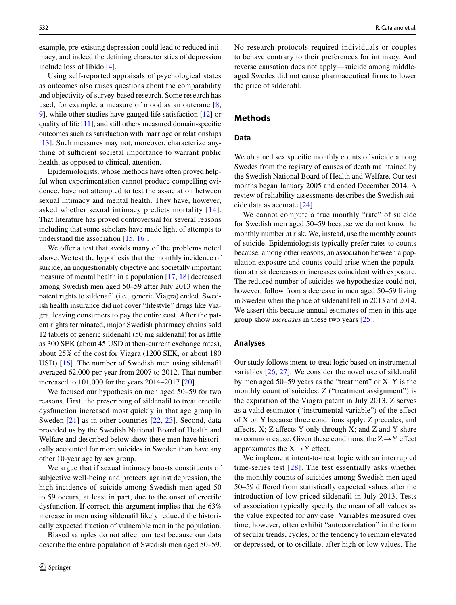example, pre-existing depression could lead to reduced intimacy, and indeed the defning characteristics of depression include loss of libido [[4\]](#page-5-1).

Using self-reported appraisals of psychological states as outcomes also raises questions about the comparability and objectivity of survey-based research. Some research has used, for example, a measure of mood as an outcome [\[8,](#page-5-5) [9](#page-5-6)], while other studies have gauged life satisfaction [[12\]](#page-5-9) or quality of life [[11\]](#page-5-8), and still others measured domain-specifc outcomes such as satisfaction with marriage or relationships [\[13\]](#page-5-10). Such measures may not, moreover, characterize anything of sufficient societal importance to warrant public health, as opposed to clinical, attention.

Epidemiologists, whose methods have often proved helpful when experimentation cannot produce compelling evidence, have not attempted to test the association between sexual intimacy and mental health. They have, however, asked whether sexual intimacy predicts mortality [\[14](#page-5-11)]. That literature has proved controversial for several reasons including that some scholars have made light of attempts to understand the association [[15,](#page-6-0) [16\]](#page-6-1).

We offer a test that avoids many of the problems noted above. We test the hypothesis that the monthly incidence of suicide, an unquestionably objective and societally important measure of mental health in a population [[17](#page-6-2), [18](#page-6-3)] decreased among Swedish men aged 50–59 after July 2013 when the patent rights to sildenafl (i.e., generic Viagra) ended. Swedish health insurance did not cover "lifestyle" drugs like Viagra, leaving consumers to pay the entire cost. After the patent rights terminated, major Swedish pharmacy chains sold 12 tablets of generic sildenafl (50 mg sildenafl) for as little as 300 SEK (about 45 USD at then-current exchange rates), about 25% of the cost for Viagra (1200 SEK, or about 180 USD) [[16\]](#page-6-1). The number of Swedish men using sildenafl averaged 62,000 per year from 2007 to 2012. That number increased to 101,000 for the years 2014–2017 [[20\]](#page-6-4).

We focused our hypothesis on men aged 50–59 for two reasons. First, the prescribing of sildenafl to treat erectile dysfunction increased most quickly in that age group in Sweden [[21\]](#page-6-5) as in other countries [[22](#page-6-6), [23](#page-6-7)]. Second, data provided us by the Swedish National Board of Health and Welfare and described below show these men have historically accounted for more suicides in Sweden than have any other 10-year age by sex group.

We argue that if sexual intimacy boosts constituents of subjective well-being and protects against depression, the high incidence of suicide among Swedish men aged 50 to 59 occurs, at least in part, due to the onset of erectile dysfunction. If correct, this argument implies that the 63% increase in men using sildenafl likely reduced the historically expected fraction of vulnerable men in the population.

Biased samples do not affect our test because our data describe the entire population of Swedish men aged 50–59.

No research protocols required individuals or couples to behave contrary to their preferences for intimacy. And reverse causation does not apply—suicide among middleaged Swedes did not cause pharmaceutical frms to lower the price of sildenafl.

# **Methods**

## **Data**

We obtained sex specific monthly counts of suicide among Swedes from the registry of causes of death maintained by the Swedish National Board of Health and Welfare. Our test months began January 2005 and ended December 2014. A review of reliability assessments describes the Swedish suicide data as accurate [\[24](#page-6-8)].

We cannot compute a true monthly "rate" of suicide for Swedish men aged 50–59 because we do not know the monthly number at risk. We, instead, use the monthly counts of suicide. Epidemiologists typically prefer rates to counts because, among other reasons, an association between a population exposure and counts could arise when the population at risk decreases or increases coincident with exposure. The reduced number of suicides we hypothesize could not, however, follow from a decrease in men aged 50–59 living in Sweden when the price of sildenafl fell in 2013 and 2014. We assert this because annual estimates of men in this age group show *increases* in these two years [[25\]](#page-6-9).

#### **Analyses**

Our study follows intent-to-treat logic based on instrumental variables [\[26,](#page-6-10) [27](#page-6-11)]. We consider the novel use of sildenafl by men aged 50–59 years as the "treatment" or X. Y is the monthly count of suicides. Z ("treatment assignment") is the expiration of the Viagra patent in July 2013. Z serves as a valid estimator ("instrumental variable") of the efect of X on Y because three conditions apply: Z precedes, and affects,  $X$ ;  $Z$  affects  $Y$  only through  $X$ ; and  $Z$  and  $Y$  share no common cause. Given these conditions, the  $Z \rightarrow Y$  effect approximates the  $X \rightarrow Y$  effect.

We implement intent-to-treat logic with an interrupted time-series test [\[28](#page-6-12)]. The test essentially asks whether the monthly counts of suicides among Swedish men aged 50–59 difered from statistically expected values after the introduction of low-priced sildenafl in July 2013. Tests of association typically specify the mean of all values as the value expected for any case. Variables measured over time, however, often exhibit "autocorrelation" in the form of secular trends, cycles, or the tendency to remain elevated or depressed, or to oscillate, after high or low values. The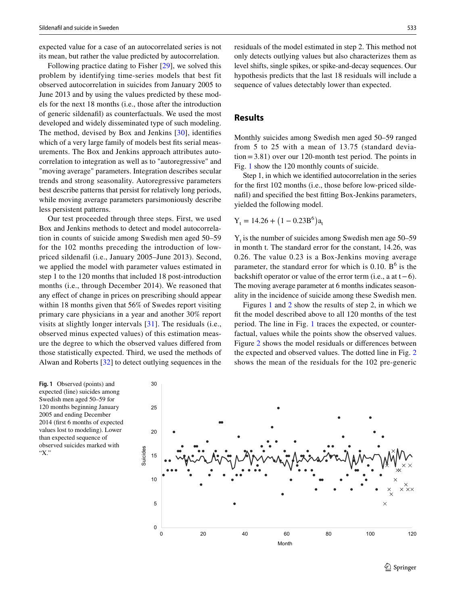expected value for a case of an autocorrelated series is not its mean, but rather the value predicted by autocorrelation.

Following practice dating to Fisher [\[29](#page-6-13)], we solved this problem by identifying time-series models that best fit observed autocorrelation in suicides from January 2005 to June 2013 and by using the values predicted by these models for the next 18 months (i.e., those after the introduction of generic sildenafl) as counterfactuals. We used the most developed and widely disseminated type of such modeling. The method, devised by Box and Jenkins  $[30]$ , identifies which of a very large family of models best fits serial measurements. The Box and Jenkins approach attributes autocorrelation to integration as well as to "autoregressive" and "moving average" parameters. Integration describes secular trends and strong seasonality. Autoregressive parameters best describe patterns that persist for relatively long periods, while moving average parameters parsimoniously describe less persistent patterns.

Our test proceeded through three steps. First, we used Box and Jenkins methods to detect and model autocorrelation in counts of suicide among Swedish men aged 50–59 for the 102 months preceding the introduction of lowpriced sildenafl (i.e., January 2005–June 2013). Second, we applied the model with parameter values estimated in step 1 to the 120 months that included 18 post-introduction months (i.e., through December 2014). We reasoned that any efect of change in prices on prescribing should appear within 18 months given that 56% of Swedes report visiting primary care physicians in a year and another 30% report visits at slightly longer intervals [\[31](#page-6-15)]. The residuals (i.e., observed minus expected values) of this estimation measure the degree to which the observed values difered from those statistically expected. Third, we used the methods of Alwan and Roberts [\[32](#page-6-16)] to detect outlying sequences in the

<span id="page-2-0"></span>**Fig. 1** Observed (points) and expected (line) suicides among Swedish men aged 50–59 for 120 months beginning January 2005 and ending December 2014 (frst 6 months of expected values lost to modeling). Lower than expected sequence of observed suicides marked with "X."

residuals of the model estimated in step 2. This method not only detects outlying values but also characterizes them as level shifts, single spikes, or spike-and-decay sequences. Our hypothesis predicts that the last 18 residuals will include a sequence of values detectably lower than expected.

# **Results**

Monthly suicides among Swedish men aged 50–59 ranged from 5 to 25 with a mean of 13.75 (standard devia $t$ ion = 3.81) over our 120-month test period. The points in Fig. [1](#page-2-0) show the 120 monthly counts of suicide.

Step 1, in which we identifed autocorrelation in the series for the frst 102 months (i.e., those before low-priced sildenafl) and specifed the best ftting Box-Jenkins parameters, yielded the following model.

$$
Y_t = 14.26 + (1 - 0.23B^6)a_t
$$

 $Y_t$  is the number of suicides among Swedish men age 50–59 in month t. The standard error for the constant, 14.26, was 0.26. The value 0.23 is a Box-Jenkins moving average parameter, the standard error for which is  $0.10$ . B<sup>6</sup> is the backshift operator or value of the error term (i.e., a at  $t-6$ ). The moving average parameter at 6 months indicates seasonality in the incidence of suicide among these Swedish men.

Figures [1](#page-2-0) and [2](#page-3-0) show the results of step 2, in which we ft the model described above to all 120 months of the test period. The line in Fig. [1](#page-2-0) traces the expected, or counterfactual, values while the points show the observed values. Figure [2](#page-3-0) shows the model residuals or diferences between the expected and observed values. The dotted line in Fig. [2](#page-3-0) shows the mean of the residuals for the 102 pre-generic

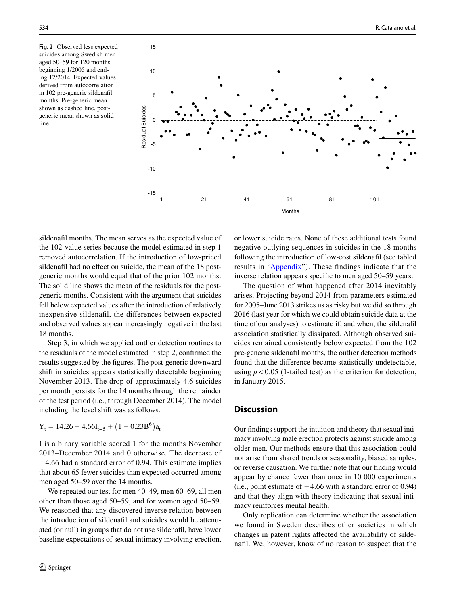<span id="page-3-0"></span>**Fig. 2** Observed less expected suicides among Swedish men aged 50–59 for 120 months beginning 1/2005 and ending 12/2014. Expected values derived from autocorrelation in 102 pre-generic sildenafl months. Pre-generic mean shown as dashed line, postgeneric mean shown as solid line



sildenafl months. The mean serves as the expected value of the 102-value series because the model estimated in step 1 removed autocorrelation. If the introduction of low-priced sildenafil had no effect on suicide, the mean of the 18 postgeneric months would equal that of the prior 102 months. The solid line shows the mean of the residuals for the postgeneric months. Consistent with the argument that suicides fell below expected values after the introduction of relatively inexpensive sildenafl, the diferences between expected and observed values appear increasingly negative in the last 18 months.

Step 3, in which we applied outlier detection routines to the residuals of the model estimated in step 2, confrmed the results suggested by the fgures. The post-generic downward shift in suicides appears statistically detectable beginning November 2013. The drop of approximately 4.6 suicides per month persists for the 14 months through the remainder of the test period (i.e., through December 2014). The model including the level shift was as follows.

 $Y_t = 14.26 - 4.66I_{t-5} + (1 - 0.23B^6)a_t$ 

I is a binary variable scored 1 for the months November 2013–December 2014 and 0 otherwise. The decrease of −4.66 had a standard error of 0.94. This estimate implies that about 65 fewer suicides than expected occurred among men aged 50–59 over the 14 months.

We repeated our test for men 40–49, men 60–69, all men other than those aged 50–59, and for women aged 50–59. We reasoned that any discovered inverse relation between the introduction of sildenafl and suicides would be attenuated (or null) in groups that do not use sildenafl, have lower baseline expectations of sexual intimacy involving erection,

or lower suicide rates. None of these additional tests found negative outlying sequences in suicides in the 18 months following the introduction of low-cost sildenafl (see tabled results in ["Appendix](#page-4-0)"). These fndings indicate that the inverse relation appears specifc to men aged 50–59 years.

The question of what happened after 2014 inevitably arises. Projecting beyond 2014 from parameters estimated for 2005–June 2013 strikes us as risky but we did so through 2016 (last year for which we could obtain suicide data at the time of our analyses) to estimate if, and when, the sildenafl association statistically dissipated. Although observed suicides remained consistently below expected from the 102 pre-generic sildenafl months, the outlier detection methods found that the diference became statistically undetectable, using  $p < 0.05$  (1-tailed test) as the criterion for detection, in January 2015.

## **Discussion**

Our fndings support the intuition and theory that sexual intimacy involving male erection protects against suicide among older men. Our methods ensure that this association could not arise from shared trends or seasonality, biased samples, or reverse causation. We further note that our fnding would appear by chance fewer than once in 10 000 experiments (i.e., point estimate of −4.66 with a standard error of 0.94) and that they align with theory indicating that sexual intimacy reinforces mental health.

Only replication can determine whether the association we found in Sweden describes other societies in which changes in patent rights afected the availability of sildenafl. We, however, know of no reason to suspect that the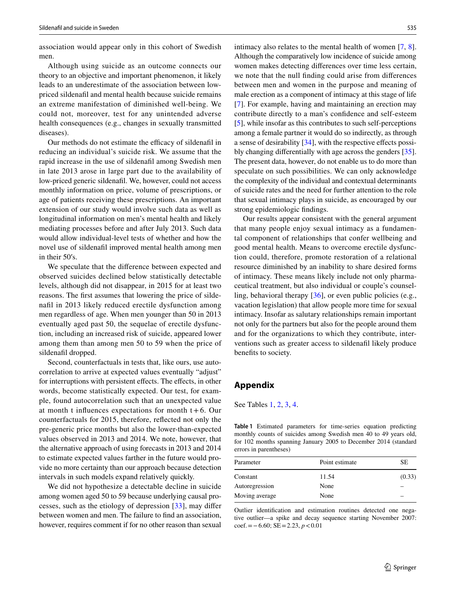association would appear only in this cohort of Swedish men.

Although using suicide as an outcome connects our theory to an objective and important phenomenon, it likely leads to an underestimate of the association between lowpriced sildenafl and mental health because suicide remains an extreme manifestation of diminished well-being. We could not, moreover, test for any unintended adverse health consequences (e.g., changes in sexually transmitted diseases).

Our methods do not estimate the efficacy of sildenafil in reducing an individual's suicide risk. We assume that the rapid increase in the use of sildenafl among Swedish men in late 2013 arose in large part due to the availability of low-priced generic sildenafl. We, however, could not access monthly information on price, volume of prescriptions, or age of patients receiving these prescriptions. An important extension of our study would involve such data as well as longitudinal information on men's mental health and likely mediating processes before and after July 2013. Such data would allow individual-level tests of whether and how the novel use of sildenafl improved mental health among men in their 50′s.

We speculate that the diference between expected and observed suicides declined below statistically detectable levels, although did not disappear, in 2015 for at least two reasons. The frst assumes that lowering the price of sildenafl in 2013 likely reduced erectile dysfunction among men regardless of age. When men younger than 50 in 2013 eventually aged past 50, the sequelae of erectile dysfunction, including an increased risk of suicide, appeared lower among them than among men 50 to 59 when the price of sildenafl dropped.

Second, counterfactuals in tests that, like ours, use autocorrelation to arrive at expected values eventually "adjust" for interruptions with persistent effects. The effects, in other words, become statistically expected. Our test, for example, found autocorrelation such that an unexpected value at month t influences expectations for month  $t + 6$ . Our counterfactuals for 2015, therefore, refected not only the pre-generic price months but also the lower-than-expected values observed in 2013 and 2014. We note, however, that the alternative approach of using forecasts in 2013 and 2014 to estimate expected values farther in the future would provide no more certainty than our approach because detection intervals in such models expand relatively quickly.

We did not hypothesize a detectable decline in suicide among women aged 50 to 59 because underlying causal processes, such as the etiology of depression [[33](#page-6-17)], may difer between women and men. The failure to fnd an association, however, requires comment if for no other reason than sexual

intimacy also relates to the mental health of women [[7](#page-5-4), [8](#page-5-5)]. Although the comparatively low incidence of suicide among women makes detecting diferences over time less certain, we note that the null fnding could arise from diferences between men and women in the purpose and meaning of male erection as a component of intimacy at this stage of life [[7\]](#page-5-4). For example, having and maintaining an erection may contribute directly to a man's confdence and self-esteem [\[5](#page-5-2)], while insofar as this contributes to such self-perceptions among a female partner it would do so indirectly, as through a sense of desirability [\[34](#page-6-18)], with the respective efects possibly changing diferentially with age across the genders [\[35](#page-6-19)]. The present data, however, do not enable us to do more than speculate on such possibilities. We can only acknowledge the complexity of the individual and contextual determinants of suicide rates and the need for further attention to the role that sexual intimacy plays in suicide, as encouraged by our strong epidemiologic fndings.

Our results appear consistent with the general argument that many people enjoy sexual intimacy as a fundamental component of relationships that confer wellbeing and good mental health. Means to overcome erectile dysfunction could, therefore, promote restoration of a relational resource diminished by an inability to share desired forms of intimacy. These means likely include not only pharmaceutical treatment, but also individual or couple's counselling, behavioral therapy [\[36](#page-6-20)], or even public policies (e.g., vacation legislation) that allow people more time for sexual intimacy. Insofar as salutary relationships remain important not only for the partners but also for the people around them and for the organizations to which they contribute, interventions such as greater access to sildenafl likely produce benefts to society.

## <span id="page-4-0"></span>**Appendix**

See Tables [1](#page-4-1), [2](#page-5-12), [3](#page-5-13), [4](#page-5-14).

<span id="page-4-1"></span>**Table 1** Estimated parameters for time-series equation predicting monthly counts of suicides among Swedish men 40 to 49 years old, for 102 months spanning January 2005 to December 2014 (standard errors in parentheses)

| Parameter      | Point estimate | SE     |
|----------------|----------------|--------|
| Constant       | 11.54          | (0.33) |
| Autoregression | None           |        |
| Moving average | None           | -      |

Outlier identifcation and estimation routines detected one negative outlier—a spike and decay sequence starting November 2007: coef.=−6.60; SE=2.23, *p*<0.01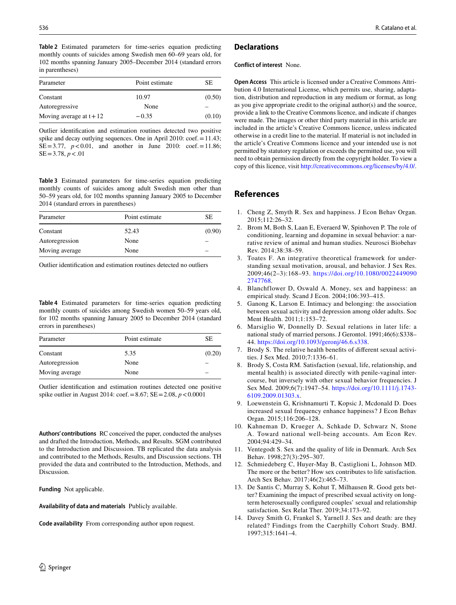<span id="page-5-12"></span>**Table 2** Estimated parameters for time-series equation predicting monthly counts of suicides among Swedish men 60–69 years old, for 102 months spanning January 2005–December 2014 (standard errors in parentheses)

| Parameter                  | Point estimate | SЕ     |
|----------------------------|----------------|--------|
| Constant                   | 10.97          | (0.50) |
| Autoregressive             | None           |        |
| Moving average at $t + 12$ | $-0.35$        | (0.10) |

Outlier identifcation and estimation routines detected two positive spike and decay outlying sequences. One in April 2010: coef. = 11.43;  $SE = 3.77$ ,  $p < 0.01$ , and another in June 2010: coef. = 11.86;  $SE = 3.78, p < .01$ 

<span id="page-5-13"></span>**Table 3** Estimated parameters for time-series equation predicting monthly counts of suicides among adult Swedish men other than 50–59 years old, for 102 months spanning January 2005 to December 2014 (standard errors in parentheses)

| Parameter      | Point estimate | SЕ     |
|----------------|----------------|--------|
| Constant       | 52.43          | (0.90) |
| Autoregression | None           |        |
| Moving average | None           |        |

Outlier identifcation and estimation routines detected no outliers

<span id="page-5-14"></span>**Table 4** Estimated parameters for time-series equation predicting monthly counts of suicides among Swedish women 50–59 years old, for 102 months spanning January 2005 to December 2014 (standard errors in parentheses)

| Parameter      | Point estimate | SЕ                       |
|----------------|----------------|--------------------------|
| Constant       | 5.35           | (0.20)                   |
| Autoregression | None           |                          |
| Moving average | None           | $\overline{\phantom{a}}$ |

Outlier identifcation and estimation routines detected one positive spike outlier in August 2014: coef.=8.67; SE=2.08, *p*<0.0001

**Authors' contributions** RC conceived the paper, conducted the analyses and drafted the Introduction, Methods, and Results. SGM contributed to the Introduction and Discussion. TB replicated the data analysis and contributed to the Methods, Results, and Discussion sections. TH provided the data and contributed to the Introduction, Methods, and Discussion.

**Funding** Not applicable.

**Availability of data and materials** Publicly available.

**Code availability** From corresponding author upon request.

#### **Declarations**

**Conflict of interest** None.

**Open Access** This article is licensed under a Creative Commons Attribution 4.0 International License, which permits use, sharing, adaptation, distribution and reproduction in any medium or format, as long as you give appropriate credit to the original author(s) and the source, provide a link to the Creative Commons licence, and indicate if changes were made. The images or other third party material in this article are included in the article's Creative Commons licence, unless indicated otherwise in a credit line to the material. If material is not included in the article's Creative Commons licence and your intended use is not permitted by statutory regulation or exceeds the permitted use, you will need to obtain permission directly from the copyright holder. To view a copy of this licence, visit<http://creativecommons.org/licenses/by/4.0/>.

#### **References**

- <span id="page-5-0"></span>1. Cheng Z, Smyth R. Sex and happiness. J Econ Behav Organ. 2015;112:26–32.
- 2. Brom M, Both S, Laan E, Everaerd W, Spinhoven P. The role of conditioning, learning and dopamine in sexual behavior: a narrative review of animal and human studies. Neurosci Biobehav Rev. 2014;38:38–59.
- 3. Toates F. An integrative theoretical framework for understanding sexual motivation, arousal, and behavior. J Sex Res. 2009;46(2–3):168–93. [https://doi.org/10.1080/0022449090](https://doi.org/10.1080/00224490902747768) [2747768](https://doi.org/10.1080/00224490902747768).
- <span id="page-5-1"></span>4. Blanchflower D, Oswald A. Money, sex and happiness: an empirical study. Scand J Econ. 2004;106:393–415.
- <span id="page-5-2"></span>5. Ganong K, Larson E. Intimacy and belonging: the association between sexual activity and depression among older adults. Soc Ment Health. 2011;1:153–72.
- <span id="page-5-3"></span>6. Marsiglio W, Donnelly D. Sexual relations in later life: a national study of married persons. J Gerontol. 1991;46(6):S338– 44.<https://doi.org/10.1093/geronj/46.6.s338>.
- <span id="page-5-4"></span>7. Brody S. The relative health benefts of diferent sexual activities. J Sex Med. 2010;7:1336–61.
- <span id="page-5-5"></span>8. Brody S, Costa RM. Satisfaction (sexual, life, relationship, and mental health) is associated directly with penile-vaginal intercourse, but inversely with other sexual behavior frequencies. J Sex Med. 2009;6(7):1947–54. [https://doi.org/10.1111/j.1743-](https://doi.org/10.1111/j.1743-6109.2009.01303.x) [6109.2009.01303.x.](https://doi.org/10.1111/j.1743-6109.2009.01303.x)
- <span id="page-5-6"></span>9. Loewenstein G, Krishnamurti T, Kopsic J, Mcdonald D. Does increased sexual frequency enhance happiness? J Econ Behav Organ. 2015;116:206–128.
- <span id="page-5-7"></span>10. Kahneman D, Krueger A, Schkade D, Schwarz N, Stone A. Toward national well-being accounts. Am Econ Rev. 2004;94:429–34.
- <span id="page-5-8"></span>11. Ventegodt S. Sex and the quality of life in Denmark. Arch Sex Behav. 1998;27(3):295–307.
- <span id="page-5-9"></span>12. Schmiedeberg C, Huyer-May B, Castiglioni L, Johnson MD. The more or the better? How sex contributes to life satisfaction. Arch Sex Behav. 2017;46(2):465–73.
- <span id="page-5-10"></span>13. De Santis C, Murray S, Kohut T, Milhausen R. Good gets better? Examining the impact of prescribed sexual activity on longterm heterosexually confgured couples' sexual and relationship satisfaction. Sex Relat Ther. 2019;34:173–92.
- <span id="page-5-11"></span>14. Davey Smith G, Frankel S, Yarnell J. Sex and death: are they related? Findings from the Caerphilly Cohort Study. BMJ. 1997;315:1641–4.